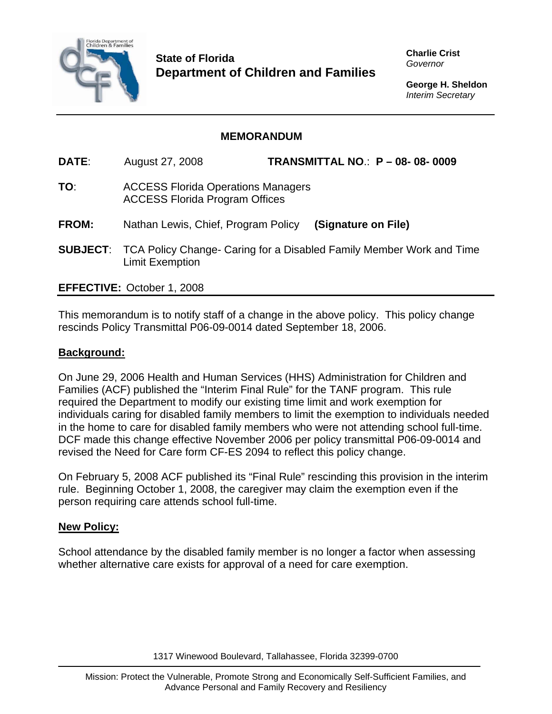

**State of Florida Department of Children and Families**  **Charlie Crist**  *Governor* 

**George H. Sheldon**  *Interim Secretary* 

# **MEMORANDUM**

**DATE**: August 27, 2008 **TRANSMITTAL NO**.: **P – 08- 08- 0009** 

- **TO**: ACCESS Florida Operations Managers ACCESS Florida Program Offices
- **FROM:** Nathan Lewis, Chief, Program Policy **(Signature on File)**
- **SUBJECT**: TCA Policy Change- Caring for a Disabled Family Member Work and Time Limit Exemption

## **EFFECTIVE:** October 1, 2008

This memorandum is to notify staff of a change in the above policy. This policy change rescinds Policy Transmittal P06-09-0014 dated September 18, 2006.

### **Background:**

On June 29, 2006 Health and Human Services (HHS) Administration for Children and Families (ACF) published the "Interim Final Rule" for the TANF program. This rule required the Department to modify our existing time limit and work exemption for individuals caring for disabled family members to limit the exemption to individuals needed in the home to care for disabled family members who were not attending school full-time. DCF made this change effective November 2006 per policy transmittal P06-09-0014 and revised the Need for Care form CF-ES 2094 to reflect this policy change.

On February 5, 2008 ACF published its "Final Rule" rescinding this provision in the interim rule. Beginning October 1, 2008, the caregiver may claim the exemption even if the person requiring care attends school full-time.

#### **New Policy:**

School attendance by the disabled family member is no longer a factor when assessing whether alternative care exists for approval of a need for care exemption.

1317 Winewood Boulevard, Tallahassee, Florida 32399-0700